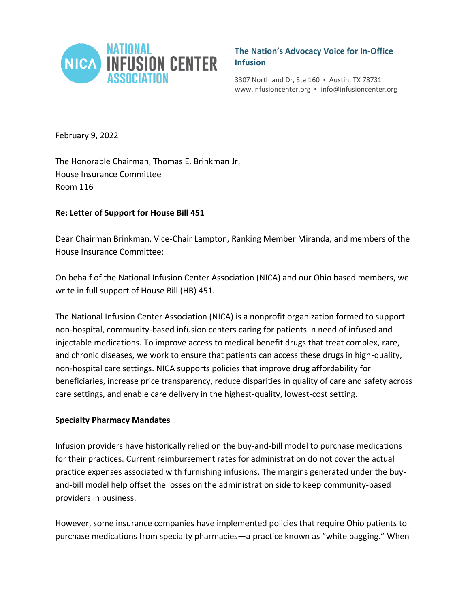

**The Nation's Advocacy Voice for In-Office Infusion**

3307 Northland Dr, Ste 160 ▪ Austin, TX 78731 www.infusioncenter.org ▪ info@infusioncenter.org

February 9, 2022

The Honorable Chairman, Thomas E. Brinkman Jr. House Insurance Committee Room 116

# **Re: Letter of Support for House Bill 451**

Dear Chairman Brinkman, Vice-Chair Lampton, Ranking Member Miranda, and members of the House Insurance Committee:

On behalf of the National Infusion Center Association (NICA) and our Ohio based members, we write in full support of House Bill (HB) 451.

The National Infusion Center Association (NICA) is a nonprofit organization formed to support non-hospital, community-based infusion centers caring for patients in need of infused and injectable medications. To improve access to medical benefit drugs that treat complex, rare, and chronic diseases, we work to ensure that patients can access these drugs in high-quality, non-hospital care settings. NICA supports policies that improve drug affordability for beneficiaries, increase price transparency, reduce disparities in quality of care and safety across care settings, and enable care delivery in the highest-quality, lowest-cost setting.

### **Specialty Pharmacy Mandates**

Infusion providers have historically relied on the buy-and-bill model to purchase medications for their practices. Current reimbursement rates for administration do not cover the actual practice expenses associated with furnishing infusions. The margins generated under the buyand-bill model help offset the losses on the administration side to keep community-based providers in business.

However, some insurance companies have implemented policies that require Ohio patients to purchase medications from specialty pharmacies—a practice known as "white bagging." When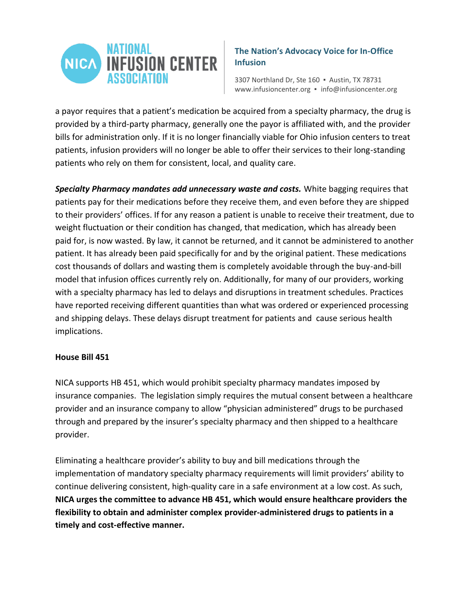

# **The Nation's Advocacy Voice for In-Office Infusion**

3307 Northland Dr, Ste 160 ▪ Austin, TX 78731 www.infusioncenter.org ▪ info@infusioncenter.org

a payor requires that a patient's medication be acquired from a specialty pharmacy, the drug is provided by a third-party pharmacy, generally one the payor is affiliated with, and the provider bills for administration only. If it is no longer financially viable for Ohio infusion centers to treat patients, infusion providers will no longer be able to offer their services to their long-standing patients who rely on them for consistent, local, and quality care.

*Specialty Pharmacy mandates add unnecessary waste and costs.* White bagging requires that patients pay for their medications before they receive them, and even before they are shipped to their providers' offices. If for any reason a patient is unable to receive their treatment, due to weight fluctuation or their condition has changed, that medication, which has already been paid for, is now wasted. By law, it cannot be returned, and it cannot be administered to another patient. It has already been paid specifically for and by the original patient. These medications cost thousands of dollars and wasting them is completely avoidable through the buy-and-bill model that infusion offices currently rely on. Additionally, for many of our providers, working with a specialty pharmacy has led to delays and disruptions in treatment schedules. Practices have reported receiving different quantities than what was ordered or experienced processing and shipping delays. These delays disrupt treatment for patients and cause serious health implications.

#### **House Bill 451**

NICA supports HB 451, which would prohibit specialty pharmacy mandates imposed by insurance companies. The legislation simply requires the mutual consent between a healthcare provider and an insurance company to allow "physician administered" drugs to be purchased through and prepared by the insurer's specialty pharmacy and then shipped to a healthcare provider.

Eliminating a healthcare provider's ability to buy and bill medications through the implementation of mandatory specialty pharmacy requirements will limit providers' ability to continue delivering consistent, high-quality care in a safe environment at a low cost. As such, **NICA urges the committee to advance HB 451, which would ensure healthcare providers the flexibility to obtain and administer complex provider-administered drugs to patients in a timely and cost-effective manner.**